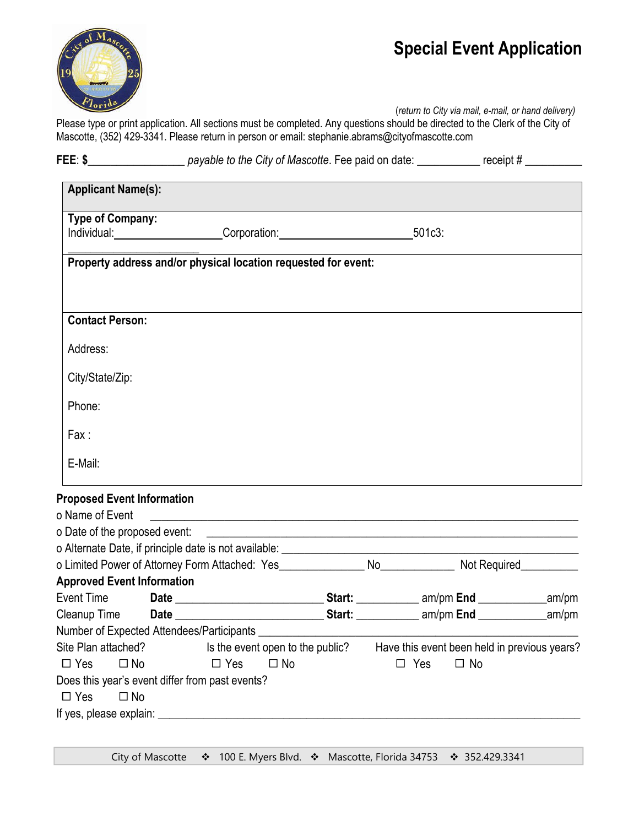

(*return to City via mail, e-mail, or hand delivery)*

Please type or print application. All sections must be completed. Any questions should be directed to the Clerk of the City of Mascotte, (352) 429-3341. Please return in person or email: stephanie.abrams@cityofmascotte.com

**FEE**: **\$\_\_\_\_\_\_\_\_\_\_\_\_\_\_\_\_\_** *payable to the City of Mascotte*. Fee paid on date: \_\_\_\_\_\_\_\_\_\_\_ receipt # \_\_\_\_\_\_\_\_\_\_

| <b>Applicant Name(s):</b>                                                                                 |                                                                                                                       |            |           |  |
|-----------------------------------------------------------------------------------------------------------|-----------------------------------------------------------------------------------------------------------------------|------------|-----------|--|
| <b>Type of Company:</b>                                                                                   | Individual: ______________________Corporation: _________________________________501c3:                                |            |           |  |
|                                                                                                           | Property address and/or physical location requested for event:                                                        |            |           |  |
| <b>Contact Person:</b>                                                                                    |                                                                                                                       |            |           |  |
| Address:                                                                                                  |                                                                                                                       |            |           |  |
| City/State/Zip:                                                                                           |                                                                                                                       |            |           |  |
| Phone:                                                                                                    |                                                                                                                       |            |           |  |
| Fax:                                                                                                      |                                                                                                                       |            |           |  |
| E-Mail:                                                                                                   |                                                                                                                       |            |           |  |
| <b>Proposed Event Information</b>                                                                         |                                                                                                                       |            |           |  |
| o Name of Event                                                                                           | <u> 1988 - Jan Barbara, margaret amerikan basar dan berasal di sebagai basa dan berasal dan berasal dan berasal d</u> |            |           |  |
| o Date of the proposed event: ________                                                                    |                                                                                                                       |            |           |  |
|                                                                                                           |                                                                                                                       |            |           |  |
| o Limited Power of Attorney Form Attached: Yes___________________No______________ Not Required___________ |                                                                                                                       |            |           |  |
| <b>Approved Event Information</b>                                                                         |                                                                                                                       |            |           |  |
|                                                                                                           |                                                                                                                       |            |           |  |
|                                                                                                           |                                                                                                                       |            |           |  |
|                                                                                                           |                                                                                                                       |            |           |  |
| Site Plan attached? Is the event open to the public? Have this event been held in previous years?         |                                                                                                                       |            |           |  |
| $\Box$ Yes<br>$\Box$ No                                                                                   | $\Box$ Yes<br>$\Box$ No                                                                                               | $\Box$ Yes | $\Box$ No |  |
| Does this year's event differ from past events?                                                           |                                                                                                                       |            |           |  |
| $\Box$ Yes<br>$\square$ No                                                                                |                                                                                                                       |            |           |  |
|                                                                                                           |                                                                                                                       |            |           |  |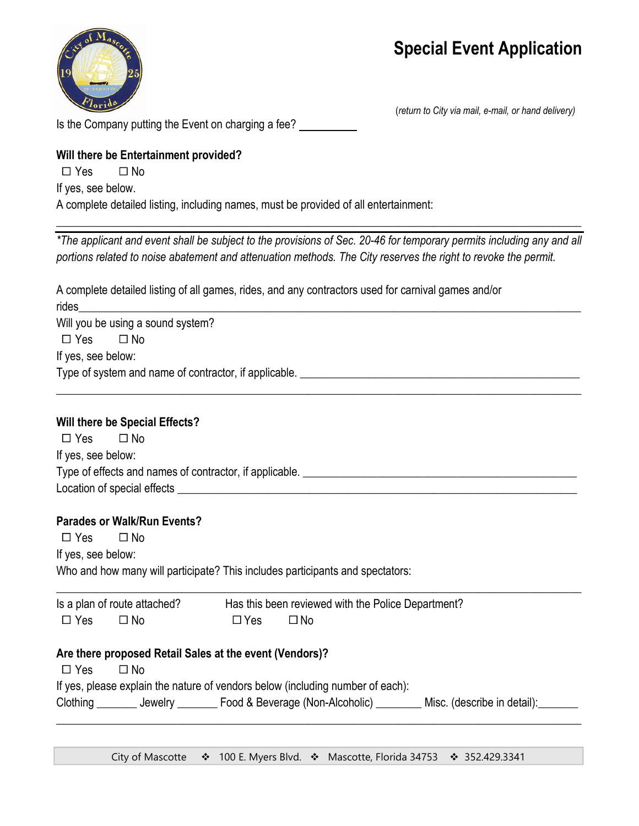

Is the Company putting the Event on charging a fee?

(*return to City via mail, e-mail, or hand delivery)*

### **Will there be Entertainment provided?**

 $\Box$  Yes  $\Box$  No

If yes, see below.

A complete detailed listing, including names, must be provided of all entertainment:

*\*The applicant and event shall be subject to the provisions of Sec. 20-46 for temporary permits including any and all portions related to noise abatement and attenuation methods. The City reserves the right to revoke the permit.*

 $\overline{\phantom{a}}$  , and the contribution of the contribution of the contribution of the contribution of the contribution of the contribution of the contribution of the contribution of the contribution of the contribution of the

| A complete detailed listing of all games, rides, and any contractors used for carnival games and/or |                                                                                 |  |  |  |  |  |
|-----------------------------------------------------------------------------------------------------|---------------------------------------------------------------------------------|--|--|--|--|--|
| rides<br>Will you be using a sound system?                                                          |                                                                                 |  |  |  |  |  |
| $\Box$ No<br>$\Box$ Yes                                                                             |                                                                                 |  |  |  |  |  |
| If yes, see below:                                                                                  |                                                                                 |  |  |  |  |  |
|                                                                                                     |                                                                                 |  |  |  |  |  |
|                                                                                                     |                                                                                 |  |  |  |  |  |
| Will there be Special Effects?                                                                      |                                                                                 |  |  |  |  |  |
| $\square$ No<br>$\Box$ Yes                                                                          |                                                                                 |  |  |  |  |  |
| If yes, see below:                                                                                  |                                                                                 |  |  |  |  |  |
|                                                                                                     |                                                                                 |  |  |  |  |  |
|                                                                                                     |                                                                                 |  |  |  |  |  |
| <b>Parades or Walk/Run Events?</b><br>$\Box$ Yes<br>$\square$ No                                    |                                                                                 |  |  |  |  |  |
| If yes, see below:                                                                                  |                                                                                 |  |  |  |  |  |
|                                                                                                     | Who and how many will participate? This includes participants and spectators:   |  |  |  |  |  |
|                                                                                                     | Is a plan of route attached? Has this been reviewed with the Police Department? |  |  |  |  |  |
| $\square$ No<br>$\Box$ Yes                                                                          | $\Box$ Yes<br>$\square$ No                                                      |  |  |  |  |  |
| Are there proposed Retail Sales at the event (Vendors)?                                             |                                                                                 |  |  |  |  |  |
| $\square$ No<br>$\Box$ Yes                                                                          |                                                                                 |  |  |  |  |  |
|                                                                                                     |                                                                                 |  |  |  |  |  |
|                                                                                                     | If yes, please explain the nature of vendors below (including number of each):  |  |  |  |  |  |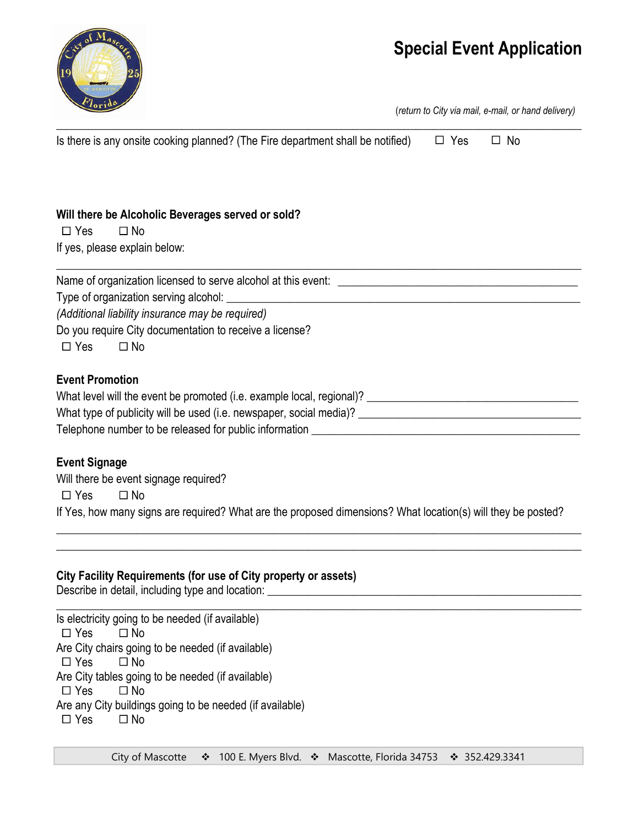М

(*return to City via mail, e-mail, or hand delivery)*

| Is there is any onsite cooking planned? (The Fire department shall be notified)                                                                                | $\Box$ Yes | $\Box$ No |
|----------------------------------------------------------------------------------------------------------------------------------------------------------------|------------|-----------|
|                                                                                                                                                                |            |           |
|                                                                                                                                                                |            |           |
| Will there be Alcoholic Beverages served or sold?<br>$\Box$ No                                                                                                 |            |           |
| $\Box$ Yes                                                                                                                                                     |            |           |
| If yes, please explain below:                                                                                                                                  |            |           |
|                                                                                                                                                                |            |           |
| Type of organization serving alcohol:<br><u> 1989 - Johann Harry Harry Harry Harry Harry Harry Harry Harry Harry Harry Harry Harry Harry Harry Harry Harry</u> |            |           |
| (Additional liability insurance may be required)                                                                                                               |            |           |
| Do you require City documentation to receive a license?                                                                                                        |            |           |
| $\Box$ Yes<br>$\Box$ No                                                                                                                                        |            |           |
| <b>Event Promotion</b>                                                                                                                                         |            |           |
|                                                                                                                                                                |            |           |
|                                                                                                                                                                |            |           |
|                                                                                                                                                                |            |           |
| <b>Event Signage</b>                                                                                                                                           |            |           |
| Will there be event signage required?                                                                                                                          |            |           |
| $\Box$ Yes<br>$\Box$ No                                                                                                                                        |            |           |
| If Yes, how many signs are required? What are the proposed dimensions? What location(s) will they be posted?                                                   |            |           |
|                                                                                                                                                                |            |           |
|                                                                                                                                                                |            |           |
| City Facility Requirements (for use of City property or assets)                                                                                                |            |           |
|                                                                                                                                                                |            |           |
| Let us be a factor for a constant of the contracted and $f(f)$ are contracted at $\lambda$ .                                                                   |            |           |

Is electricity going to be needed (if available)  $\Box$  Yes  $\Box$  No Are City chairs going to be needed (if available)  $\Box$  Yes  $\Box$  No Are City tables going to be needed (if available)  $\Box$  Yes  $\Box$  No Are any City buildings going to be needed (if available)  $\Box$  Yes  $\Box$  No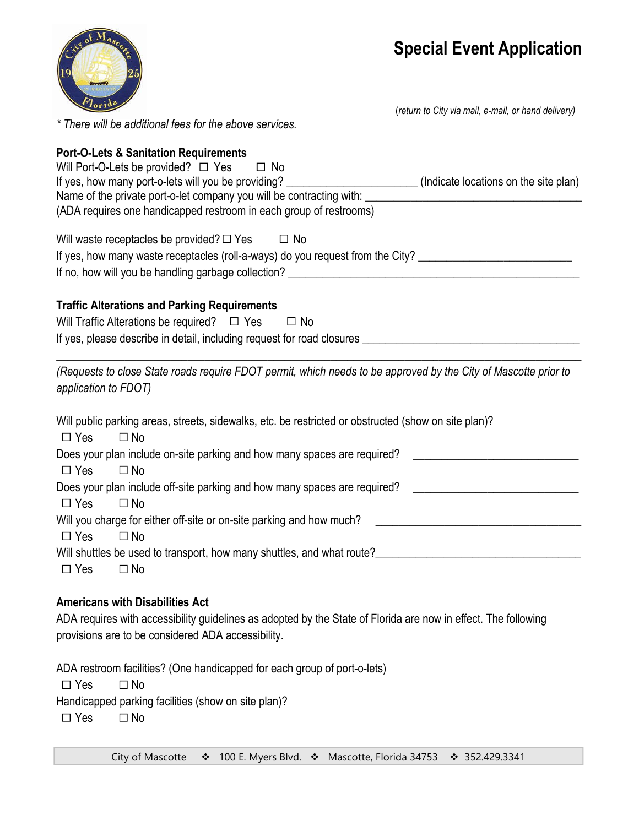(*return to City via mail, e-mail, or hand delivery)*



*\* There will be additional fees for the above services.* 

### **Port-O-Lets & Sanitation Requirements**

| Will Port-O-Lets be provided? $\Box$ Yes $\Box$ No<br>If yes, how many port-o-lets will you be providing?                                                                                                                  | (Indicate locations on the site plan) |
|----------------------------------------------------------------------------------------------------------------------------------------------------------------------------------------------------------------------------|---------------------------------------|
| (ADA requires one handicapped restroom in each group of restrooms)                                                                                                                                                         |                                       |
| Will waste receptacles be provided? $\Box$ Yes $\Box$ No                                                                                                                                                                   |                                       |
| If yes, how many waste receptacles (roll-a-ways) do you request from the City? _______________________________                                                                                                             |                                       |
|                                                                                                                                                                                                                            |                                       |
| <b>Traffic Alterations and Parking Requirements</b>                                                                                                                                                                        |                                       |
| Will Traffic Alterations be required? $\Box$ Yes<br>$\Box$ No                                                                                                                                                              |                                       |
|                                                                                                                                                                                                                            |                                       |
|                                                                                                                                                                                                                            |                                       |
| (Requests to close State roads require FDOT permit, which needs to be approved by the City of Mascotte prior to<br>application to FDOT)                                                                                    |                                       |
| Will public parking areas, streets, sidewalks, etc. be restricted or obstructed (show on site plan)?<br>$\square$ No<br>$\Box$ Yes                                                                                         |                                       |
| Does your plan include on-site parking and how many spaces are required?<br>$\Box$ Yes<br>$\square$ No                                                                                                                     |                                       |
| Does your plan include off-site parking and how many spaces are required? __________________________                                                                                                                       |                                       |
| $\Box$ Yes<br>$\Box$ No                                                                                                                                                                                                    |                                       |
| Will you charge for either off-site or on-site parking and how much?<br>$\Box$ Yes<br>$\square$ No                                                                                                                         |                                       |
| Will shuttles be used to transport, how many shuttles, and what route?<br>Mill shuttles be used to transport, how many shuttles, and what route?<br>Mill shuttles be used to transport, how many shuttles, and what route? |                                       |
| $\Box$ Yes<br>$\Box$ No                                                                                                                                                                                                    |                                       |
| <b>Americans with Disabilities Act</b>                                                                                                                                                                                     |                                       |
|                                                                                                                                                                                                                            |                                       |

ADA requires with accessibility guidelines as adopted by the State of Florida are now in effect. The following provisions are to be considered ADA accessibility.

ADA restroom facilities? (One handicapped for each group of port-o-lets)

 $\Box$  Yes  $\Box$  No

Handicapped parking facilities (show on site plan)?

 $\Box$  Yes  $\Box$  No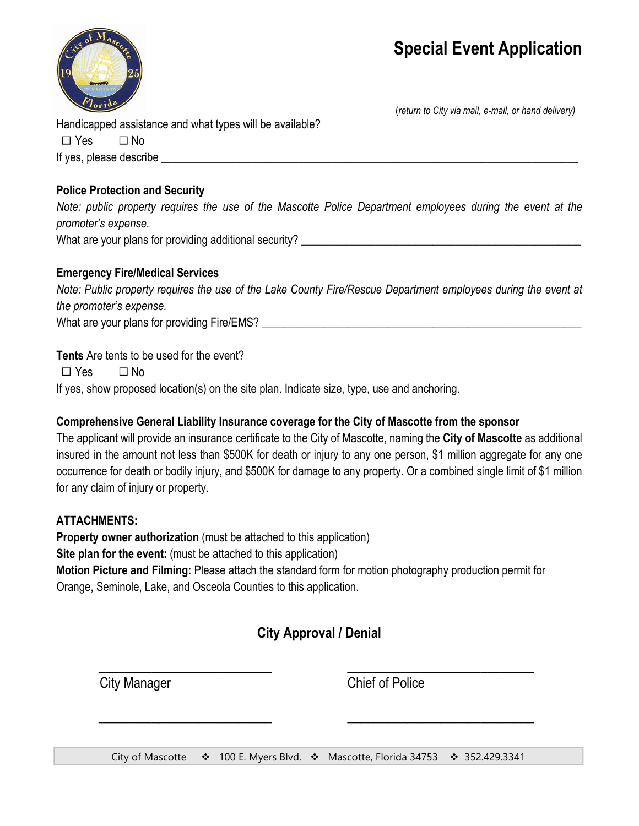

(*return to City via mail, e-mail, or hand delivery)*

Handicapped assistance and what types will be available?

 $\Box$  Yes  $\Box$  No If yes, please describe \_\_\_\_\_\_\_\_\_\_\_\_\_\_\_\_\_\_\_\_\_\_\_\_\_\_\_\_\_\_\_\_\_\_\_\_\_\_\_\_\_\_\_\_\_\_\_\_\_\_\_\_\_\_\_\_\_\_\_\_\_\_\_\_\_\_\_\_\_\_\_\_\_

#### **Police Protection and Security**

*Note: public property requires the use of the Mascotte Police Department employees during the event at the promoter's expense.*

What are your plans for providing additional security?

### **Emergency Fire/Medical Services**

*Note: Public property requires the use of the Lake County Fire/Rescue Department employees during the event at the promoter's expense.* 

What are your plans for providing Fire/EMS?

**Tents** Are tents to be used for the event?

 $\Box$  Yes  $\Box$  No

If yes, show proposed location(s) on the site plan. Indicate size, type, use and anchoring.

### **Comprehensive General Liability Insurance coverage for the City of Mascotte from the sponsor**

The applicant will provide an insurance certificate to the City of Mascotte, naming the **City of Mascotte** as additional insured in the amount not less than \$500K for death or injury to any one person, \$1 million aggregate for any one occurrence for death or bodily injury, and \$500K for damage to any property. Or a combined single limit of \$1 million for any claim of injury or property.

### **ATTACHMENTS:**

**Property owner authorization** (must be attached to this application)

**Site plan for the event:** (must be attached to this application)

**Motion Picture and Filming:** Please attach the standard form for motion photography production permit for Orange, Seminole, Lake, and Osceola Counties to this application.

### **City Approval / Denial**

\_\_\_\_\_\_\_\_\_\_\_\_\_\_\_\_\_\_\_\_\_\_\_\_\_\_ \_\_\_\_\_\_\_\_\_\_\_\_\_\_\_\_\_\_\_\_\_\_\_\_\_\_\_\_ City Manager Chief of Police

\_\_\_\_\_\_\_\_\_\_\_\_\_\_\_\_\_\_\_\_\_\_\_\_\_\_ \_\_\_\_\_\_\_\_\_\_\_\_\_\_\_\_\_\_\_\_\_\_\_\_\_\_\_\_